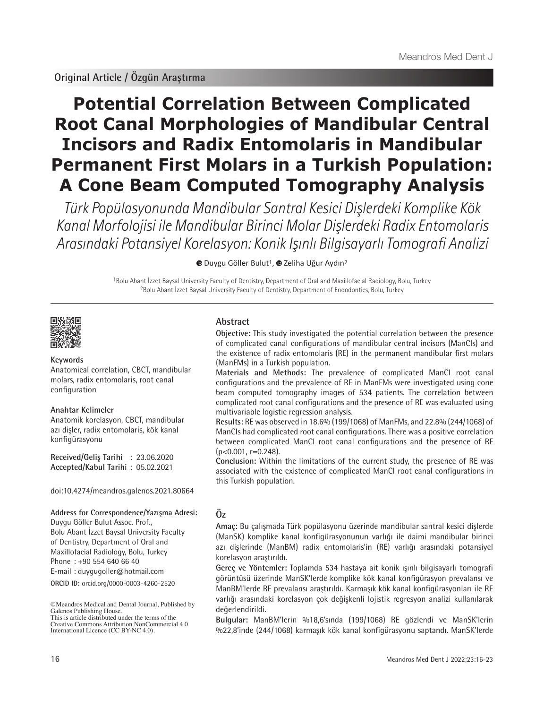# **Potential Correlation Between Complicated Root Canal Morphologies of Mandibular Central Incisors and Radix Entomolaris in Mandibular Permanent First Molars in a Turkish Population: A Cone Beam Computed Tomography Analysis**

Türk Popülasyonunda Mandibular Santral Kesici Dişlerdeki Komplike Kök Kanal Morfolojisi ile Mandibular Birinci Molar Dişlerdeki Radix Entomolaris Arasındaki Potansiyel Korelasyon: Konik Işınlı Bilgisayarlı Tomografi Analizi

**O**Duygu Göller Bulut<sup>1</sup>[,](https://orcid.org/0000-0002-1773-9114) **O** Zeliha Uğur Aydın<sup>2</sup>

1Bolu Abant İzzet Baysal University Faculty of Dentistry, Department of Oral and Maxillofacial Radiology, Bolu, Turkey 2Bolu Abant İzzet Baysal University Faculty of Dentistry, Department of Endodontics, Bolu, Turkey



# **Keywords**

Anatomical correlation, CBCT, mandibular molars, radix entomolaris, root canal configuration

#### **Anahtar Kelimeler**

Anatomik korelasyon, CBCT, mandibular azı dişler, radix entomolaris, kök kanal konfigürasyonu

**Received/Geliş Tarihi** : 23.06.2020 **Accepted/Kabul Tarihi** : 05.02.2021

doi:10.4274/meandros.galenos.2021.80664

#### **Address for Correspondence/Yazışma Adresi:**

**ORCID ID:** orcid.org/0000-0003-4260-2520 Duygu Göller Bulut Assoc. Prof., Bolu Abant İzzet Baysal University Faculty of Dentistry, Department of Oral and Maxillofacial Radiology, Bolu, Turkey Phone : +90 554 640 66 40 E-mail : duygugoller@hotmail.com

©Meandros Medical and Dental Journal, Published by Galenos Publishing House. This is article distributed under the terms of the

# **Abstract**

**Objective:** This study investigated the potential correlation between the presence of complicated canal configurations of mandibular central incisors (ManCIs) and the existence of radix entomolaris (RE) in the permanent mandibular first molars (ManFMs) in a Turkish population.

**Materials and Methods:** The prevalence of complicated ManCI root canal configurations and the prevalence of RE in ManFMs were investigated using cone beam computed tomography images of 534 patients. The correlation between complicated root canal configurations and the presence of RE was evaluated using multivariable logistic regression analysis.

**Results:** RE was observed in 18.6% (199/1068) of ManFMs, and 22.8% (244/1068) of ManCIs had complicated root canal configurations. There was a positive correlation between complicated ManCI root canal configurations and the presence of RE  $(p<0.001, r=0.248)$ .

**Conclusion:** Within the limitations of the current study, the presence of RE was associated with the existence of complicated ManCI root canal configurations in this Turkish population.

# **Öz**

**Amaç:** Bu çalışmada Türk popülasyonu üzerinde mandibular santral kesici dişlerde (ManSK) komplike kanal konfigürasyonunun varlığı ile daimi mandibular birinci azı dişlerinde (ManBM) radix entomolaris'in (RE) varlığı arasındaki potansiyel korelasyon araştırıldı.

**Gereç ve Yöntemler:** Toplamda 534 hastaya ait konik ışınlı bilgisayarlı tomografi görüntüsü üzerinde ManSK'lerde komplike kök kanal konfigürasyon prevalansı ve ManBM'lerde RE prevalansı araştırıldı. Karmaşık kök kanal konfigürasyonları ile RE varlığı arasındaki korelasyon çok değişkenli lojistik regresyon analizi kullanılarak değerlendirildi.

**Bulgular:** ManBM'lerin %18,6'sında (199/1068) RE gözlendi ve ManSK'lerin %22,8'inde (244/1068) karmaşık kök kanal konfigürasyonu saptandı. ManSK'lerde

Creative Commons Attribution NonCommercial 4.0 International Licence (CC BY-NC 4.0).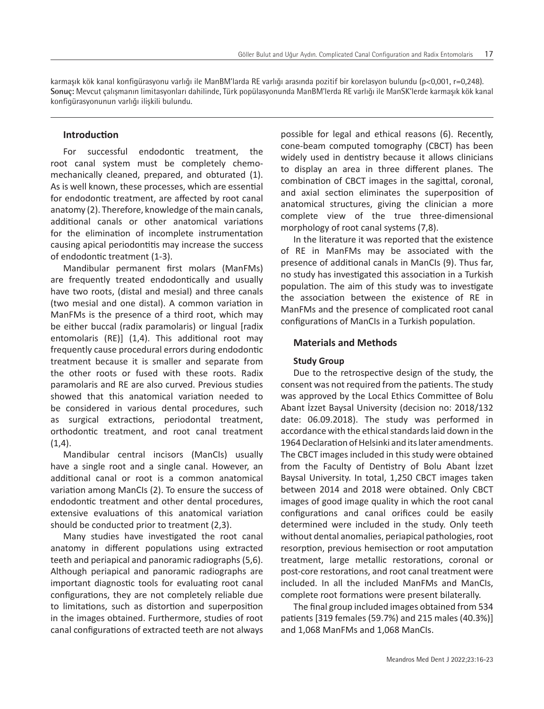karmaşık kök kanal konfigürasyonu varlığı ile ManBM'larda RE varlığı arasında pozitif bir korelasyon bulundu (p<0,001, r=0,248). **Sonuç:** Mevcut çalışmanın limitasyonları dahilinde, Türk popülasyonunda ManBM'lerda RE varlığı ile ManSK'lerde karmaşık kök kanal konfigürasyonunun varlığı ilişkili bulundu.

### **Introduction**

For successful endodontic treatment, the root canal system must be completely chemomechanically cleaned, prepared, and obturated (1). As is well known, these processes, which are essential for endodontic treatment, are affected by root canal anatomy (2). Therefore, knowledge of the main canals, additional canals or other anatomical variations for the elimination of incomplete instrumentation causing apical periodontitis may increase the success of endodontic treatment (1-3).

Mandibular permanent first molars (ManFMs) are frequently treated endodontically and usually have two roots, (distal and mesial) and three canals (two mesial and one distal). A common variation in ManFMs is the presence of a third root, which may be either buccal (radix paramolaris) or lingual [radix entomolaris (RE)] (1,4). This additional root may frequently cause procedural errors during endodontic treatment because it is smaller and separate from the other roots or fused with these roots. Radix paramolaris and RE are also curved. Previous studies showed that this anatomical variation needed to be considered in various dental procedures, such as surgical extractions, periodontal treatment, orthodontic treatment, and root canal treatment  $(1,4)$ .

Mandibular central incisors (ManCIs) usually have a single root and a single canal. However, an additional canal or root is a common anatomical variation among ManCIs (2). To ensure the success of endodontic treatment and other dental procedures, extensive evaluations of this anatomical variation should be conducted prior to treatment (2,3).

Many studies have investigated the root canal anatomy in different populations using extracted teeth and periapical and panoramic radiographs (5,6). Although periapical and panoramic radiographs are important diagnostic tools for evaluating root canal configurations, they are not completely reliable due to limitations, such as distortion and superposition in the images obtained. Furthermore, studies of root canal configurations of extracted teeth are not always possible for legal and ethical reasons (6). Recently, cone-beam computed tomography (CBCT) has been widely used in dentistry because it allows clinicians to display an area in three different planes. The combination of CBCT images in the sagittal, coronal, and axial section eliminates the superposition of anatomical structures, giving the clinician a more complete view of the true three-dimensional morphology of root canal systems (7,8).

In the literature it was reported that the existence of RE in ManFMs may be associated with the presence of additional canals in ManCIs (9). Thus far, no study has investigated this association in a Turkish population. The aim of this study was to investigate the association between the existence of RE in ManFMs and the presence of complicated root canal configurations of ManCIs in a Turkish population.

# **Materials and Methods**

# **Study Group**

Due to the retrospective design of the study, the consent was not required from the patients. The study was approved by the Local Ethics Committee of Bolu Abant İzzet Baysal University (decision no: 2018/132 date: 06.09.2018). The study was performed in accordance with the ethical standards laid down in the 1964 Declaration of Helsinki and its later amendments. The CBCT images included in this study were obtained from the Faculty of Dentistry of Bolu Abant İzzet Baysal University. In total, 1,250 CBCT images taken between 2014 and 2018 were obtained. Only CBCT images of good image quality in which the root canal configurations and canal orifices could be easily determined were included in the study. Only teeth without dental anomalies, periapical pathologies, root resorption, previous hemisection or root amputation treatment, large metallic restorations, coronal or post-core restorations, and root canal treatment were included. In all the included ManFMs and ManCIs, complete root formations were present bilaterally.

The final group included images obtained from 534 patients [319 females (59.7%) and 215 males (40.3%)] and 1,068 ManFMs and 1,068 ManCIs.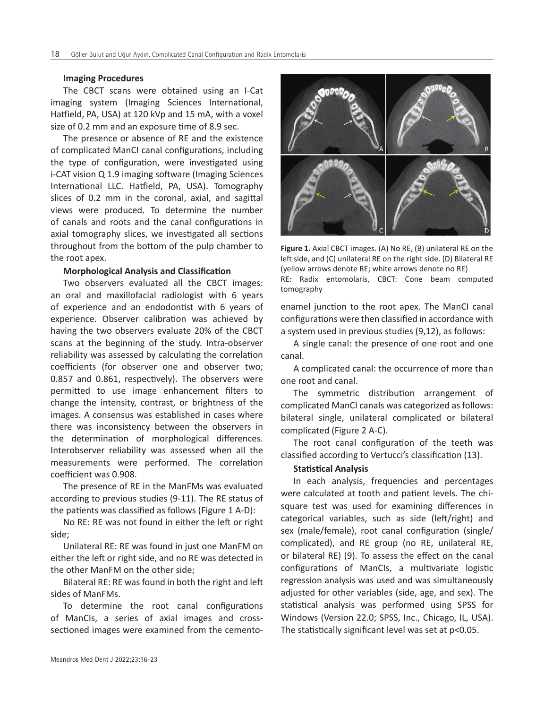#### **Imaging Procedures**

The CBCT scans were obtained using an I-Cat imaging system (Imaging Sciences International, Hatfield, PA, USA) at 120 kVp and 15 mA, with a voxel size of 0.2 mm and an exposure time of 8.9 sec.

The presence or absence of RE and the existence of complicated ManCI canal configurations, including the type of configuration, were investigated using i-CAT vision Q 1.9 imaging software (Imaging Sciences International LLC. Hatfield, PA, USA). Tomography slices of 0.2 mm in the coronal, axial, and sagittal views were produced. To determine the number of canals and roots and the canal configurations in axial tomography slices, we investigated all sections throughout from the bottom of the pulp chamber to the root apex.

#### **Morphological Analysis and Classification**

Two observers evaluated all the CBCT images: an oral and maxillofacial radiologist with 6 years of experience and an endodontist with 6 years of experience. Observer calibration was achieved by having the two observers evaluate 20% of the CBCT scans at the beginning of the study. Intra-observer reliability was assessed by calculating the correlation coefficients (for observer one and observer two; 0.857 and 0.861, respectively). The observers were permitted to use image enhancement filters to change the intensity, contrast, or brightness of the images. A consensus was established in cases where there was inconsistency between the observers in the determination of morphological differences. Interobserver reliability was assessed when all the measurements were performed. The correlation coefficient was 0.908.

The presence of RE in the ManFMs was evaluated according to previous studies (9-11). The RE status of the patients was classified as follows (Figure 1 A-D):

No RE: RE was not found in either the left or right side;

Unilateral RE: RE was found in just one ManFM on either the left or right side, and no RE was detected in the other ManFM on the other side;

Bilateral RE: RE was found in both the right and left sides of ManFMs.

To determine the root canal configurations of ManCIs, a series of axial images and crosssectioned images were examined from the cemento-



**Figure 1.** Axial CBCT images. (A) No RE, (B) unilateral RE on the left side, and (C) unilateral RE on the right side. (D) Bilateral RE (yellow arrows denote RE; white arrows denote no RE) RE: Radix entomolaris, CBCT: Cone beam computed tomography

enamel junction to the root apex. The ManCI canal configurations were then classified in accordance with a system used in previous studies (9,12), as follows:

A single canal: the presence of one root and one canal.

A complicated canal: the occurrence of more than one root and canal.

The symmetric distribution arrangement of complicated ManCI canals was categorized as follows: bilateral single, unilateral complicated or bilateral complicated (Figure 2 A-C).

The root canal configuration of the teeth was classified according to Vertucci's classification (13).

#### **Statistical Analysis**

In each analysis, frequencies and percentages were calculated at tooth and patient levels. The chisquare test was used for examining differences in categorical variables, such as side (left/right) and sex (male/female), root canal configuration (single/ complicated), and RE group (no RE, unilateral RE, or bilateral RE) (9). To assess the effect on the canal configurations of ManCIs, a multivariate logistic regression analysis was used and was simultaneously adjusted for other variables (side, age, and sex). The statistical analysis was performed using SPSS for Windows (Version 22.0; SPSS, Inc., Chicago, IL, USA). The statistically significant level was set at p<0.05.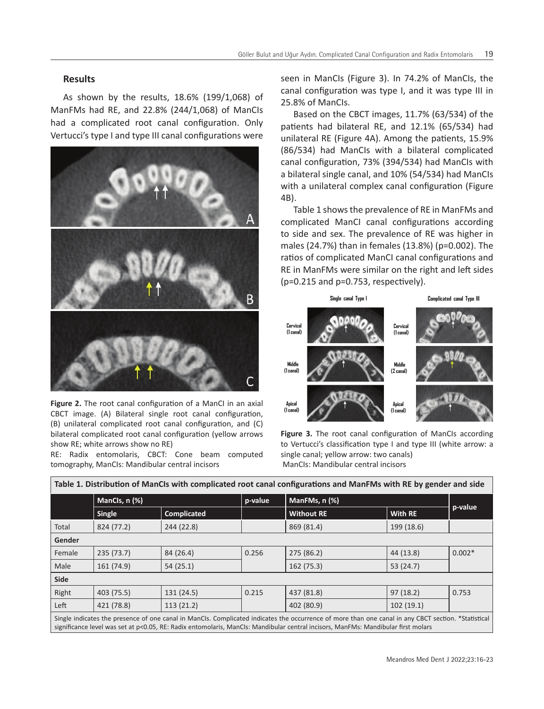### **Results**

As shown by the results, 18.6% (199/1,068) of ManFMs had RE, and 22.8% (244/1,068) of ManCIs had a complicated root canal configuration. Only Vertucci's type I and type III canal configurations were



**Figure 2.** The root canal configuration of a ManCI in an axial CBCT image. (A) Bilateral single root canal configuration, (B) unilateral complicated root canal configuration, and (C) bilateral complicated root canal configuration (yellow arrows show RE; white arrows show no RE)

RE: Radix entomolaris, CBCT: Cone beam computed tomography, ManCIs: Mandibular central incisors

seen in ManCIs (Figure 3). In 74.2% of ManCIs, the canal configuration was type I, and it was type III in 25.8% of ManCIs.

Based on the CBCT images, 11.7% (63/534) of the patients had bilateral RE, and 12.1% (65/534) had unilateral RE (Figure 4A). Among the patients, 15.9% (86/534) had ManCIs with a bilateral complicated canal configuration, 73% (394/534) had ManCIs with a bilateral single canal, and 10% (54/534) had ManCIs with a unilateral complex canal configuration (Figure 4B).

Table 1 shows the prevalence of RE in ManFMs and complicated ManCI canal configurations according to side and sex. The prevalence of RE was higher in males (24.7%) than in females (13.8%) (p=0.002). The ratios of complicated ManCI canal configurations and RE in ManFMs were similar on the right and left sides (p=0.215 and p=0.753, respectively).





| Table 1. Distribution of ManCls with complicated root canal configurations and ManFMs with RE by gender and side                                                                                                                                                                         |               |                    |         |                   |            |          |  |  |  |
|------------------------------------------------------------------------------------------------------------------------------------------------------------------------------------------------------------------------------------------------------------------------------------------|---------------|--------------------|---------|-------------------|------------|----------|--|--|--|
|                                                                                                                                                                                                                                                                                          | ManCls, n (%) |                    | p-value | ManFMs, n (%)     |            | p-value  |  |  |  |
|                                                                                                                                                                                                                                                                                          | <b>Single</b> | <b>Complicated</b> |         | <b>Without RE</b> | With RE    |          |  |  |  |
| Total                                                                                                                                                                                                                                                                                    | 824 (77.2)    | 244 (22.8)         |         | 869 (81.4)        | 199 (18.6) |          |  |  |  |
| Gender                                                                                                                                                                                                                                                                                   |               |                    |         |                   |            |          |  |  |  |
| Female                                                                                                                                                                                                                                                                                   | 235(73.7)     | 84 (26.4)          | 0.256   | 275 (86.2)        | 44 (13.8)  | $0.002*$ |  |  |  |
| Male                                                                                                                                                                                                                                                                                     | 161 (74.9)    | 54(25.1)           |         | 162 (75.3)        | 53 (24.7)  |          |  |  |  |
| Side                                                                                                                                                                                                                                                                                     |               |                    |         |                   |            |          |  |  |  |
| Right                                                                                                                                                                                                                                                                                    | 403 (75.5)    | 131 (24.5)         | 0.215   | 437 (81.8)        | 97(18.2)   | 0.753    |  |  |  |
| Left                                                                                                                                                                                                                                                                                     | 421 (78.8)    | 113(21.2)          |         | 402 (80.9)        | 102(19.1)  |          |  |  |  |
| Single indicates the presence of one canal in ManCls. Complicated indicates the occurrence of more than one canal in any CBCT section. *Statistical<br>significance level was set at p<0.05, RE: Radix entomolaris, ManCls: Mandibular central incisors, ManFMs: Mandibular first molars |               |                    |         |                   |            |          |  |  |  |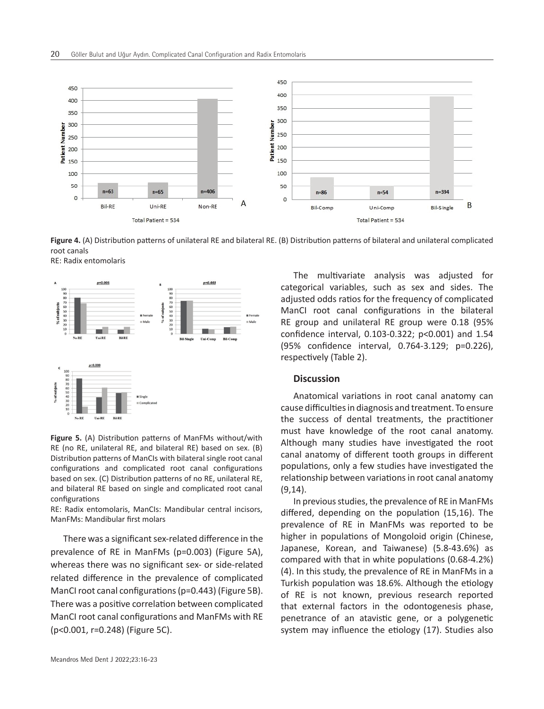

**Figure 4.** (A) Distribution patterns of unilateral RE and bilateral RE. (B) Distribution patterns of bilateral and unilateral complicated root canals

RE: Radix entomolaris



**Figure 5.** (A) Distribution patterns of ManFMs without/with RE (no RE, unilateral RE, and bilateral RE) based on sex. (B) Distribution patterns of ManCIs with bilateral single root canal configurations and complicated root canal configurations based on sex. (C) Distribution patterns of no RE, unilateral RE, and bilateral RE based on single and complicated root canal configurations

RE: Radix entomolaris, ManCIs: Mandibular central incisors, ManFMs: Mandibular first molars

There was a significant sex-related difference in the prevalence of RE in ManFMs (p=0.003) (Figure 5A), whereas there was no significant sex- or side-related related difference in the prevalence of complicated ManCI root canal configurations (p=0.443) (Figure 5B). There was a positive correlation between complicated ManCI root canal configurations and ManFMs with RE (p<0.001, r=0.248) (Figure 5C).

The multivariate analysis was adjusted for categorical variables, such as sex and sides. The adjusted odds ratios for the frequency of complicated ManCI root canal configurations in the bilateral RE group and unilateral RE group were 0.18 (95% confidence interval, 0.103-0.322; p<0.001) and 1.54 (95% confidence interval, 0.764-3.129; p=0.226), respectively (Table 2).

# **Discussion**

Anatomical variations in root canal anatomy can cause difficulties in diagnosis and treatment. To ensure the success of dental treatments, the practitioner must have knowledge of the root canal anatomy. Although many studies have investigated the root canal anatomy of different tooth groups in different populations, only a few studies have investigated the relationship between variations in root canal anatomy (9,14).

In previous studies, the prevalence of RE in ManFMs differed, depending on the population (15,16). The prevalence of RE in ManFMs was reported to be higher in populations of Mongoloid origin (Chinese, Japanese, Korean, and Taiwanese) (5.8-43.6%) as compared with that in white populations (0.68-4.2%) (4). In this study, the prevalence of RE in ManFMs in a Turkish population was 18.6%. Although the etiology of RE is not known, previous research reported that external factors in the odontogenesis phase, penetrance of an atavistic gene, or a polygenetic system may influence the etiology (17). Studies also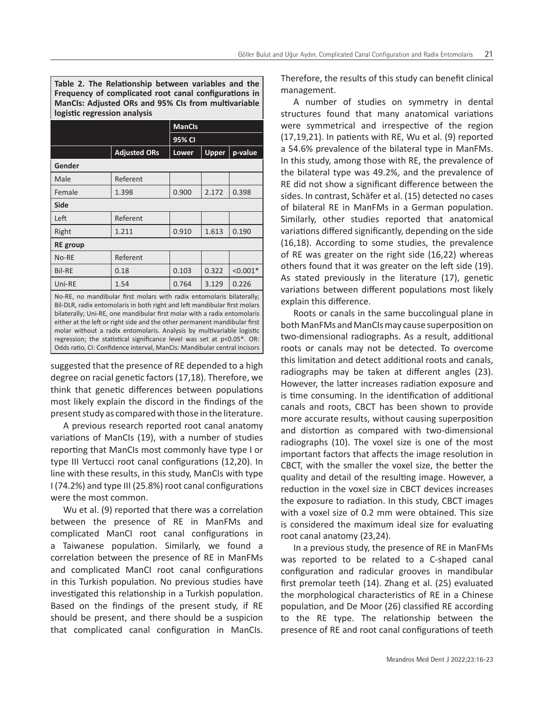**Table 2. The Relationship between variables and the Frequency of complicated root canal configurations in ManCIs: Adjusted ORs and 95% CIs from multivariable logistic regression analysis**

|                                                                     |                     | <b>ManCIs</b> |              |            |  |  |  |  |
|---------------------------------------------------------------------|---------------------|---------------|--------------|------------|--|--|--|--|
|                                                                     |                     | 95% CI        |              |            |  |  |  |  |
|                                                                     | <b>Adjusted ORs</b> | Lower         | <b>Upper</b> | p-value    |  |  |  |  |
| Gender                                                              |                     |               |              |            |  |  |  |  |
| Male                                                                | Referent            |               |              |            |  |  |  |  |
| Female                                                              | 1.398               | 0.900         | 2.172        | 0.398      |  |  |  |  |
| <b>Side</b>                                                         |                     |               |              |            |  |  |  |  |
| Left                                                                | Referent            |               |              |            |  |  |  |  |
| Right                                                               | 1.211               | 0.910         | 1.613        | 0.190      |  |  |  |  |
| <b>RE</b> group                                                     |                     |               |              |            |  |  |  |  |
| No-RE                                                               | Referent            |               |              |            |  |  |  |  |
| <b>Bil-RE</b>                                                       | 0.18                | 0.103         | 0.322        | $< 0.001*$ |  |  |  |  |
| Uni-RE                                                              | 1.54                | 0.764         | 3.129        | 0.226      |  |  |  |  |
| No BE no mandibular first molars with radix ontomolaris bilatorally |                     |               |              |            |  |  |  |  |

No-RE, no mandibular first molars with radix entomolaris bilaterally; Bil-DLR, radix entomolaris in both right and left mandibular first molars bilaterally; Uni-RE, one mandibular first molar with a radix entomolaris either at the left or right side and the other permanent mandibular first molar without a radix entomolaris. Analysis by multivariable logistic regression; the statistical significance level was set at p<0.05\*. OR: Odds ratio, CI: Confidence interval, ManCIs: Mandibular central incisors

suggested that the presence of RE depended to a high degree on racial genetic factors (17,18). Therefore, we think that genetic differences between populations most likely explain the discord in the findings of the present study as compared with those in the literature.

A previous research reported root canal anatomy variations of ManCIs (19), with a number of studies reporting that ManCIs most commonly have type I or type III Vertucci root canal configurations (12,20). In line with these results, in this study, ManCIs with type I (74.2%) and type III (25.8%) root canal configurations were the most common.

Wu et al. (9) reported that there was a correlation between the presence of RE in ManFMs and complicated ManCI root canal configurations in a Taiwanese population. Similarly, we found a correlation between the presence of RE in ManFMs and complicated ManCI root canal configurations in this Turkish population. No previous studies have investigated this relationship in a Turkish population. Based on the findings of the present study, if RE should be present, and there should be a suspicion that complicated canal configuration in ManCIs.

Therefore, the results of this study can benefit clinical management.

A number of studies on symmetry in dental structures found that many anatomical variations were symmetrical and irrespective of the region (17,19,21). In patients with RE, Wu et al. (9) reported a 54.6% prevalence of the bilateral type in ManFMs. In this study, among those with RE, the prevalence of the bilateral type was 49.2%, and the prevalence of RE did not show a significant difference between the sides. In contrast, Schäfer et al. (15) detected no cases of bilateral RE in ManFMs in a German population. Similarly, other studies reported that anatomical variations differed significantly, depending on the side (16,18). According to some studies, the prevalence of RE was greater on the right side (16,22) whereas others found that it was greater on the left side (19). As stated previously in the literature (17), genetic variations between different populations most likely explain this difference.

Roots or canals in the same buccolingual plane in both ManFMs and ManCIs may cause superposition on two-dimensional radiographs. As a result, additional roots or canals may not be detected. To overcome this limitation and detect additional roots and canals, radiographs may be taken at different angles (23). However, the latter increases radiation exposure and is time consuming. In the identification of additional canals and roots, CBCT has been shown to provide more accurate results, without causing superposition and distortion as compared with two-dimensional radiographs (10). The voxel size is one of the most important factors that affects the image resolution in CBCT, with the smaller the voxel size, the better the quality and detail of the resulting image. However, a reduction in the voxel size in CBCT devices increases the exposure to radiation. In this study, CBCT images with a voxel size of 0.2 mm were obtained. This size is considered the maximum ideal size for evaluating root canal anatomy (23,24).

In a previous study, the presence of RE in ManFMs was reported to be related to a C-shaped canal configuration and radicular grooves in mandibular first premolar teeth (14). Zhang et al. (25) evaluated the morphological characteristics of RE in a Chinese population, and De Moor (26) classified RE according to the RE type. The relationship between the presence of RE and root canal configurations of teeth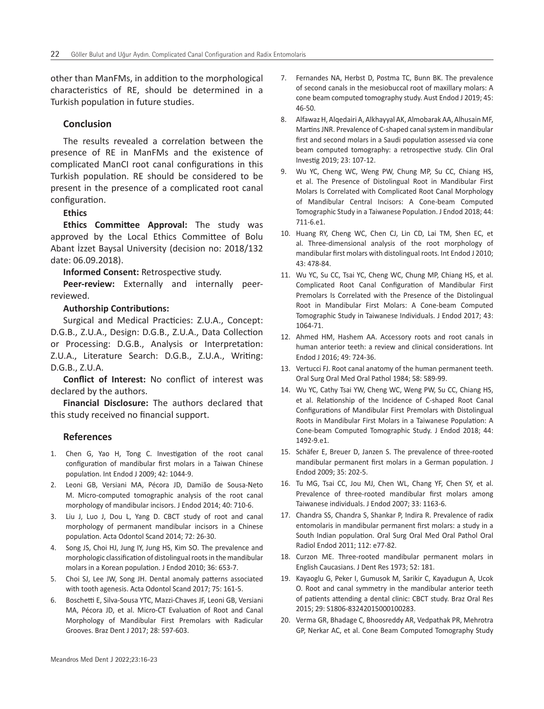other than ManFMs, in addition to the morphological characteristics of RE, should be determined in a Turkish population in future studies.

# **Conclusion**

The results revealed a correlation between the presence of RE in ManFMs and the existence of complicated ManCI root canal configurations in this Turkish population. RE should be considered to be present in the presence of a complicated root canal configuration.

# **Ethics**

**Ethics Committee Approval:** The study was approved by the Local Ethics Committee of Bolu Abant İzzet Baysal University (decision no: 2018/132 date: 06.09.2018).

#### **Informed Consent:** Retrospective study.

**Peer-review:** Externally and internally peerreviewed.

#### **Authorship Contributions:**

Surgical and Medical Practicies: Z.U.A., Concept: D.G.B., Z.U.A., Design: D.G.B., Z.U.A., Data Collection or Processing: D.G.B., Analysis or Interpretation: Z.U.A., Literature Search: D.G.B., Z.U.A., Writing: D.G.B., Z.U.A.

**Conflict of Interest:** No conflict of interest was declared by the authors.

**Financial Disclosure:** The authors declared that this study received no financial support.

#### **References**

- 1. Chen G, Yao H, Tong C. Investigation of the root canal configuration of mandibular first molars in a Taiwan Chinese population. Int Endod J 2009; 42: 1044-9.
- 2. Leoni GB, Versiani MA, Pécora JD, Damião de Sousa-Neto M. Micro-computed tomographic analysis of the root canal morphology of mandibular incisors. J Endod 2014; 40: 710-6.
- 3. Liu J, Luo J, Dou L, Yang D. CBCT study of root and canal morphology of permanent mandibular incisors in a Chinese population. Acta Odontol Scand 2014; 72: 26-30.
- 4. Song JS, Choi HJ, Jung IY, Jung HS, Kim SO. The prevalence and morphologic classification of distolingual roots in the mandibular molars in a Korean population. J Endod 2010; 36: 653-7.
- 5. Choi SJ, Lee JW, Song JH. Dental anomaly patterns associated with tooth agenesis. Acta Odontol Scand 2017; 75: 161-5.
- 6. Boschetti E, Silva-Sousa YTC, Mazzi-Chaves JF, Leoni GB, Versiani MA, Pécora JD, et al. Micro-CT Evaluation of Root and Canal Morphology of Mandibular First Premolars with Radicular Grooves. Braz Dent J 2017; 28: 597-603.
- 7. Fernandes NA, Herbst D, Postma TC, Bunn BK. The prevalence of second canals in the mesiobuccal root of maxillary molars: A cone beam computed tomography study. Aust Endod J 2019; 45: 46-50.
- 8. Alfawaz H, Alqedairi A, Alkhayyal AK, Almobarak AA, Alhusain MF, Martins JNR. Prevalence of C-shaped canal system in mandibular first and second molars in a Saudi population assessed via cone beam computed tomography: a retrospective study. Clin Oral Investig 2019; 23: 107-12.
- 9. Wu YC, Cheng WC, Weng PW, Chung MP, Su CC, Chiang HS, et al. The Presence of Distolingual Root in Mandibular First Molars Is Correlated with Complicated Root Canal Morphology of Mandibular Central Incisors: A Cone-beam Computed Tomographic Study in a Taiwanese Population. J Endod 2018; 44: 711-6.e1.
- 10. Huang RY, Cheng WC, Chen CJ, Lin CD, Lai TM, Shen EC, et al. Three-dimensional analysis of the root morphology of mandibular first molars with distolingual roots. Int Endod J 2010; 43: 478-84.
- 11. Wu YC, Su CC, Tsai YC, Cheng WC, Chung MP, Chiang HS, et al. Complicated Root Canal Configuration of Mandibular First Premolars Is Correlated with the Presence of the Distolingual Root in Mandibular First Molars: A Cone-beam Computed Tomographic Study in Taiwanese Individuals. J Endod 2017; 43: 1064-71.
- 12. Ahmed HM, Hashem AA. Accessory roots and root canals in human anterior teeth: a review and clinical considerations. Int Endod J 2016; 49: 724-36.
- 13. Vertucci FJ. Root canal anatomy of the human permanent teeth. Oral Surg Oral Med Oral Pathol 1984; 58: 589-99.
- 14. Wu YC, Cathy Tsai YW, Cheng WC, Weng PW, Su CC, Chiang HS, et al. Relationship of the Incidence of C-shaped Root Canal Configurations of Mandibular First Premolars with Distolingual Roots in Mandibular First Molars in a Taiwanese Population: A Cone-beam Computed Tomographic Study. J Endod 2018; 44: 1492-9.e1.
- 15. Schäfer E, Breuer D, Janzen S. The prevalence of three-rooted mandibular permanent first molars in a German population. J Endod 2009; 35: 202-5.
- 16. Tu MG, Tsai CC, Jou MJ, Chen WL, Chang YF, Chen SY, et al. Prevalence of three-rooted mandibular first molars among Taiwanese individuals. J Endod 2007; 33: 1163-6.
- 17. Chandra SS, Chandra S, Shankar P, Indira R. Prevalence of radix entomolaris in mandibular permanent first molars: a study in a South Indian population. Oral Surg Oral Med Oral Pathol Oral Radiol Endod 2011; 112: e77-82.
- 18. Curzon ME. Three-rooted mandibular permanent molars in English Caucasians. J Dent Res 1973; 52: 181.
- 19. Kayaoglu G, Peker I, Gumusok M, Sarikir C, Kayadugun A, Ucok O. Root and canal symmetry in the mandibular anterior teeth of patients attending a dental clinic: CBCT study. Braz Oral Res 2015; 29: S1806-83242015000100283.
- 20. Verma GR, Bhadage C, Bhoosreddy AR, Vedpathak PR, Mehrotra GP, Nerkar AC, et al. Cone Beam Computed Tomography Study